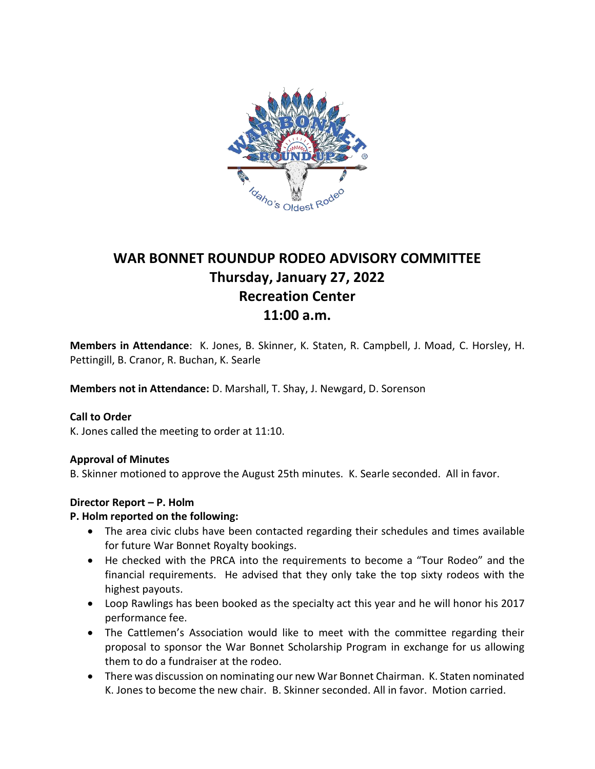

# **WAR BONNET ROUNDUP RODEO ADVISORY COMMITTEE Thursday, January 27, 2022 Recreation Center 11:00 a.m.**

**Members in Attendance**: K. Jones, B. Skinner, K. Staten, R. Campbell, J. Moad, C. Horsley, H. Pettingill, B. Cranor, R. Buchan, K. Searle

**Members not in Attendance:** D. Marshall, T. Shay, J. Newgard, D. Sorenson

#### **Call to Order**

K. Jones called the meeting to order at 11:10.

#### **Approval of Minutes**

B. Skinner motioned to approve the August 25th minutes. K. Searle seconded. All in favor.

#### **Director Report – P. Holm**

#### **P. Holm reported on the following:**

- The area civic clubs have been contacted regarding their schedules and times available for future War Bonnet Royalty bookings.
- He checked with the PRCA into the requirements to become a "Tour Rodeo" and the financial requirements. He advised that they only take the top sixty rodeos with the highest payouts.
- Loop Rawlings has been booked as the specialty act this year and he will honor his 2017 performance fee.
- The Cattlemen's Association would like to meet with the committee regarding their proposal to sponsor the War Bonnet Scholarship Program in exchange for us allowing them to do a fundraiser at the rodeo.
- There was discussion on nominating our new War Bonnet Chairman. K. Staten nominated K. Jones to become the new chair. B. Skinner seconded. All in favor. Motion carried.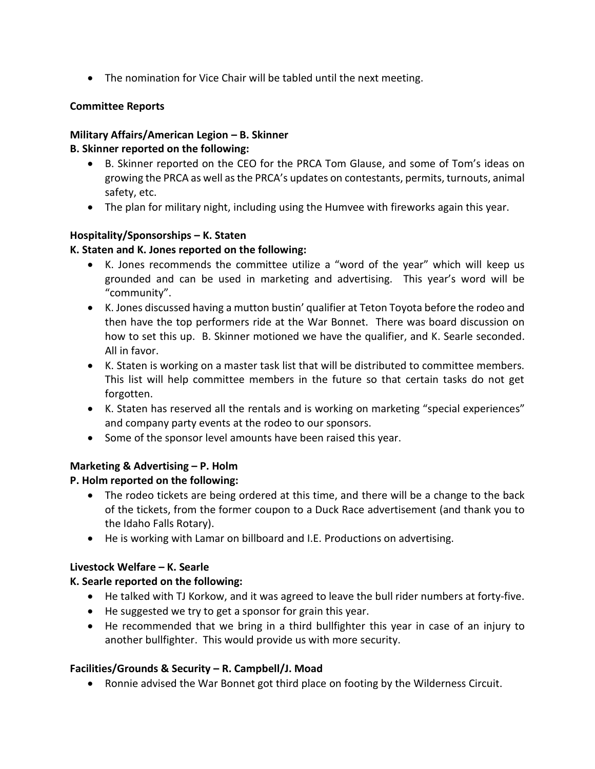• The nomination for Vice Chair will be tabled until the next meeting.

## **Committee Reports**

## **Military Affairs/American Legion – B. Skinner**

#### **B. Skinner reported on the following:**

- B. Skinner reported on the CEO for the PRCA Tom Glause, and some of Tom's ideas on growing the PRCA as well as the PRCA's updates on contestants, permits, turnouts, animal safety, etc.
- The plan for military night, including using the Humvee with fireworks again this year.

## **Hospitality/Sponsorships – K. Staten**

#### **K. Staten and K. Jones reported on the following:**

- K. Jones recommends the committee utilize a "word of the year" which will keep us grounded and can be used in marketing and advertising. This year's word will be "community".
- K. Jones discussed having a mutton bustin' qualifier at Teton Toyota before the rodeo and then have the top performers ride at the War Bonnet. There was board discussion on how to set this up. B. Skinner motioned we have the qualifier, and K. Searle seconded. All in favor.
- K. Staten is working on a master task list that will be distributed to committee members. This list will help committee members in the future so that certain tasks do not get forgotten.
- K. Staten has reserved all the rentals and is working on marketing "special experiences" and company party events at the rodeo to our sponsors.
- Some of the sponsor level amounts have been raised this year.

## **Marketing & Advertising – P. Holm**

## **P. Holm reported on the following:**

- The rodeo tickets are being ordered at this time, and there will be a change to the back of the tickets, from the former coupon to a Duck Race advertisement (and thank you to the Idaho Falls Rotary).
- He is working with Lamar on billboard and I.E. Productions on advertising.

## **Livestock Welfare – K. Searle**

## **K. Searle reported on the following:**

- He talked with TJ Korkow, and it was agreed to leave the bull rider numbers at forty-five.
- He suggested we try to get a sponsor for grain this year.
- He recommended that we bring in a third bullfighter this year in case of an injury to another bullfighter. This would provide us with more security.

## **Facilities/Grounds & Security – R. Campbell/J. Moad**

• Ronnie advised the War Bonnet got third place on footing by the Wilderness Circuit.